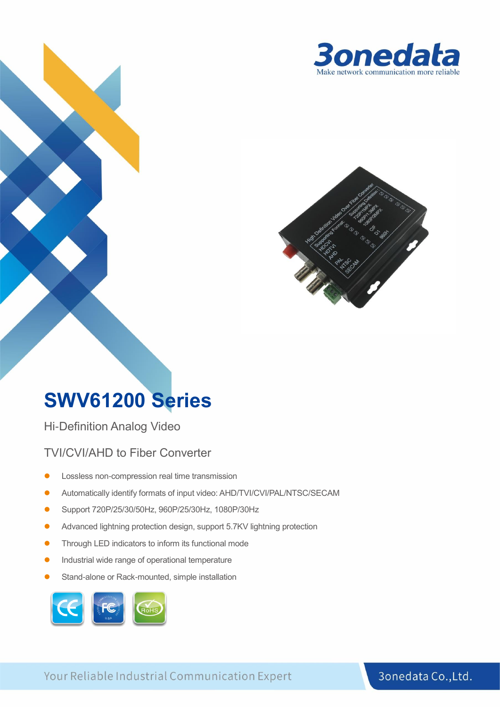



### **SWV61200 Series**

Hi-Definition Analog Video

TVI/CVI/AHD to Fiber Converter

- ⚫ Lossless non-compression real time transmission
- ⚫ Automatically identify formats of input video: AHD/TVI/CVI/PAL/NTSC/SECAM
- ⚫ Support 720P/25/30/50Hz, 960P/25/30Hz, 1080P/30Hz
- ⚫ Advanced lightning protection design, support 5.7KV lightning protection
- ⚫ Through LED indicators to inform its functional mode
- ⚫ Industrial wide range of operational temperature
- Stand-alone or Rack-mounted, simple installation



Your Reliable Industrial Communication Expert

#### 3onedata Co., Ltd.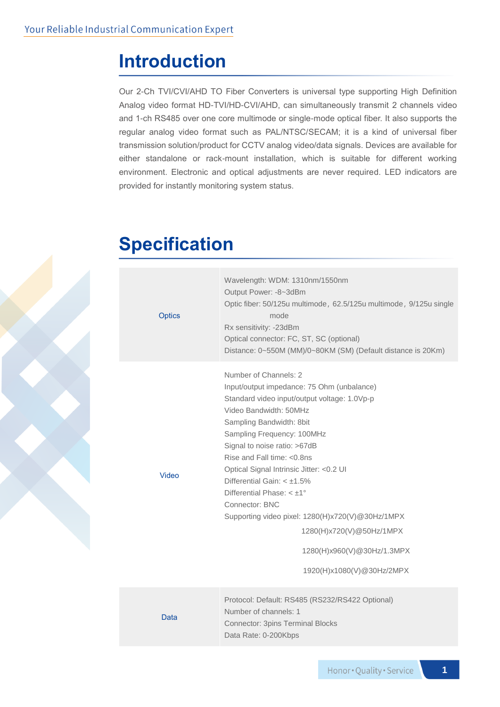### **Introduction**

Our 2-Ch TVI/CVI/AHD TO Fiber Converters is universal type supporting High Definition Analog video format HD-TVI/HD-CVI/AHD, can simultaneously transmit 2 channels video and 1-ch RS485 over one core multimode or single-mode optical fiber. It also supports the regular analog video format such as PAL/NTSC/SECAM; it is a kind of universal fiber transmission solution/product for CCTV analog video/data signals. Devices are available for either standalone or rack-mount installation, which is suitable for different working environment. Electronic and optical adjustments are never required. LED indicators are provided for instantly monitoring system status.

### **Specification**

| <b>Optics</b> | Wavelength: WDM: 1310nm/1550nm<br>Output Power: -8~3dBm<br>Optic fiber: 50/125u multimode, 62.5/125u multimode, 9/125u single<br>mode<br>Rx sensitivity: -23dBm<br>Optical connector: FC, ST, SC (optional)<br>Distance: 0~550M (MM)/0~80KM (SM) (Default distance is 20Km)                                                                                                                                                                                                                                                                                  |
|---------------|--------------------------------------------------------------------------------------------------------------------------------------------------------------------------------------------------------------------------------------------------------------------------------------------------------------------------------------------------------------------------------------------------------------------------------------------------------------------------------------------------------------------------------------------------------------|
| Video         | Number of Channels: 2<br>Input/output impedance: 75 Ohm (unbalance)<br>Standard video input/output voltage: 1.0Vp-p<br>Video Bandwidth: 50MHz<br>Sampling Bandwidth: 8bit<br>Sampling Frequency: 100MHz<br>Signal to noise ratio: >67dB<br>Rise and Fall time: <0.8ns<br>Optical Signal Intrinsic Jitter: < 0.2 UI<br>Differential Gain: $< \pm 1.5\%$<br>Differential Phase: $< \pm 1^{\circ}$<br>Connector: BNC<br>Supporting video pixel: 1280(H)x720(V)@30Hz/1MPX<br>1280(H)x720(V)@50Hz/1MPX<br>1280(H)x960(V)@30Hz/1.3MPX<br>1920(H)x1080(V)@30Hz/2MPX |
| Data          | Protocol: Default: RS485 (RS232/RS422 Optional)<br>Number of channels: 1<br><b>Connector: 3pins Terminal Blocks</b><br>Data Rate: 0-200Kbps                                                                                                                                                                                                                                                                                                                                                                                                                  |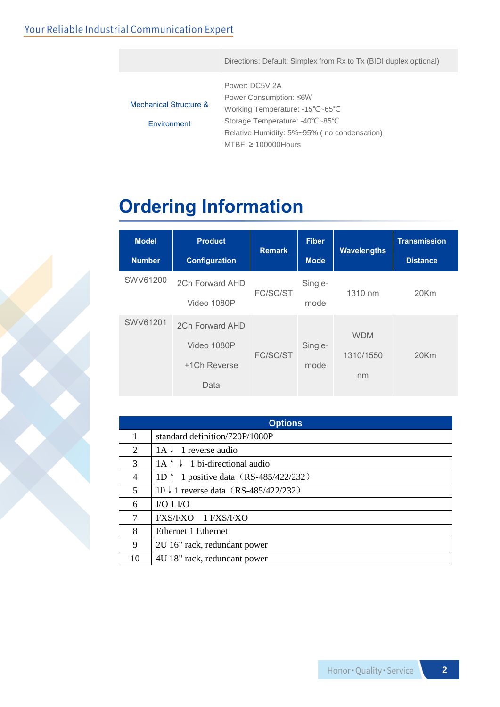#### Your Reliable Industrial Communication Expert

Directions: Default: Simplex from Rx to Tx (BIDI duplex optional)

|                                   | Power: DC5V 2A                              |
|-----------------------------------|---------------------------------------------|
|                                   | Power Consumption: ≤6W                      |
| <b>Mechanical Structure &amp;</b> | Working Temperature: -15°C~65°C             |
| Environment                       | Storage Temperature: -40°C~85°C             |
|                                   | Relative Humidity: 5%~95% (no condensation) |
|                                   | $MTBF: \geq 100000$ Hours                   |

## **Ordering Information**

| <b>Model</b><br><b>Number</b> | <b>Product</b><br><b>Configuration</b>                 | <b>Remark</b> | <b>Fiber</b><br><b>Mode</b> | <b>Wavelengths</b>            | <b>Transmission</b><br><b>Distance</b> |
|-------------------------------|--------------------------------------------------------|---------------|-----------------------------|-------------------------------|----------------------------------------|
| SWV61200                      | 2Ch Forward AHD<br>Video 1080P                         | FC/SC/ST      | Single-<br>mode             | 1310 nm                       | 20Km                                   |
| SWV61201                      | 2Ch Forward AHD<br>Video 1080P<br>+1Ch Reverse<br>Data | FC/SC/ST      | Single-<br>mode             | <b>WDM</b><br>1310/1550<br>nm | 20Km                                   |

| <b>Options</b> |                                                 |  |  |  |
|----------------|-------------------------------------------------|--|--|--|
| 1              | standard definition/720P/1080P                  |  |  |  |
| 2              | $1A \downarrow 1$ reverse audio                 |  |  |  |
| 3              | $1A \uparrow \downarrow 1$ bi-directional audio |  |  |  |
| 4              | 1D $\uparrow$ 1 positive data (RS-485/422/232)  |  |  |  |
| 5              | 1D ↓ 1 reverse data (RS-485/422/232)            |  |  |  |
| 6              | $VO 1 VO$                                       |  |  |  |
| 7              | FXS/FXO 1 FXS/FXO                               |  |  |  |
| 8              | Ethernet 1 Ethernet                             |  |  |  |
| 9              | 2U 16" rack, redundant power                    |  |  |  |
| 10             | 4U 18" rack, redundant power                    |  |  |  |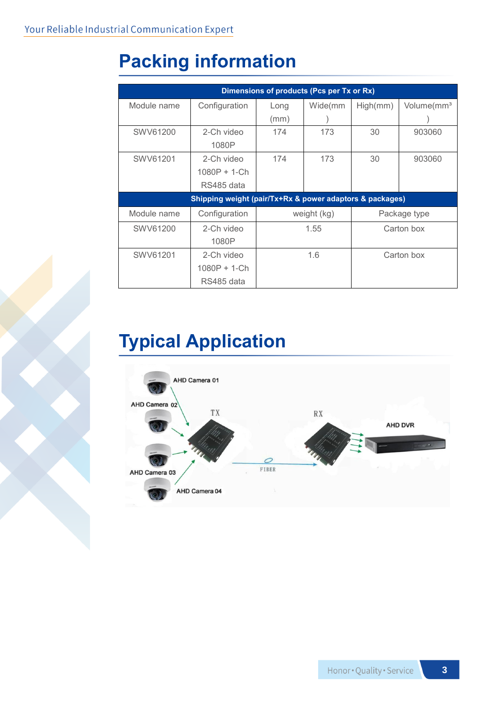# **Packing information**

| Dimensions of products (Pcs per Tx or Rx)                |               |             |         |              |                        |  |  |  |  |
|----------------------------------------------------------|---------------|-------------|---------|--------------|------------------------|--|--|--|--|
| Module name                                              | Configuration | Long        | Wide(mm | High(mm)     | Volume(mm <sup>3</sup> |  |  |  |  |
|                                                          |               | (mm)        |         |              |                        |  |  |  |  |
| SWV61200                                                 | 2-Ch video    | 174         | 173     | 30           | 903060                 |  |  |  |  |
|                                                          | 1080P         |             |         |              |                        |  |  |  |  |
| SWV61201                                                 | 2-Ch video    | 174         | 173     | 30           | 903060                 |  |  |  |  |
|                                                          | 1080P + 1-Ch  |             |         |              |                        |  |  |  |  |
|                                                          | RS485 data    |             |         |              |                        |  |  |  |  |
| Shipping weight (pair/Tx+Rx & power adaptors & packages) |               |             |         |              |                        |  |  |  |  |
| Module name                                              | Configuration | weight (kg) |         | Package type |                        |  |  |  |  |
| SWV61200                                                 | 2-Ch video    | 1.55        |         | Carton box   |                        |  |  |  |  |
|                                                          | 1080P         |             |         |              |                        |  |  |  |  |
| SWV61201                                                 | 2-Ch video    | 1.6         |         | Carton box   |                        |  |  |  |  |
|                                                          | 1080P + 1-Ch  |             |         |              |                        |  |  |  |  |
|                                                          | RS485 data    |             |         |              |                        |  |  |  |  |

## **Typical Application**

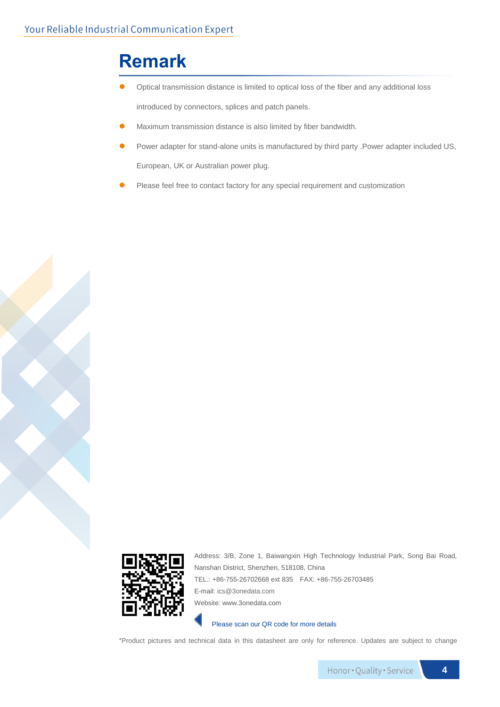### **Remark**

- ⚫ Optical transmission distance is limited to optical loss of the fiber and any additional loss introduced by connectors, splices and patch panels.
- ⚫ Maximum transmission distance is also limited by fiber bandwidth.
- ⚫ Power adapter for stand-alone units is manufactured by third party .Power adapter included US, European, UK or Australian power plug.
- Please feel free to contact factory for any special requirement and customization



Address: 3/B, Zone 1, Baiwangxin High Technology Industrial Park, Song Bai Road, Nanshan District, Shenzhen, 518108, China TEL.: +86-755-26702668 ext 835 FAX: +86-755-26703485 E-mail[: ics@3onedata.com](mailto:ics@3onedata.com) Website: www.3onedata.com

Please scan our QR code for more details

\*Product pictures and technical data in this datasheet are only for reference. Updates are subject to change